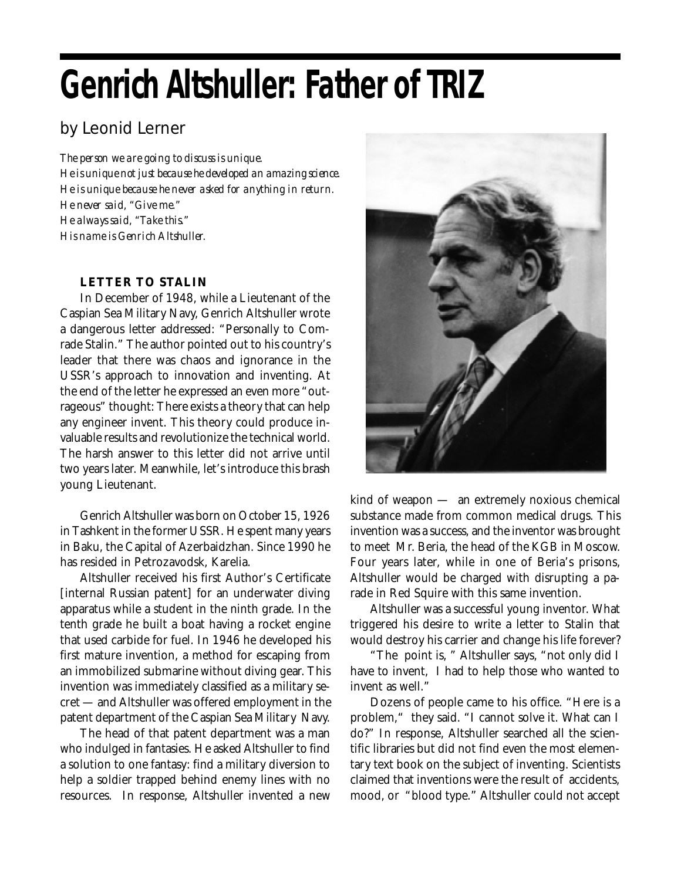## **Genrich Altshuller: Father of TRIZ**

## by Leonid Lerner

*The person we are going to discuss is unique. He is unique not just because he developed an amazing science. He is unique because he never asked for anything in return. He never said, "Give me." He always said, "Take this." His name is Genrich Altshuller.*

## **LETTER TO STALIN**

In December of 1948, while a Lieutenant of the Caspian Sea Military Navy, Genrich Altshuller wrote a dangerous letter addressed: "Personally to Comrade Stalin." The author pointed out to his country's leader that there was chaos and ignorance in the USSR's approach to innovation and inventing. At the end of the letter he expressed an even more "outrageous" thought: There exists a theory that can help any engineer invent. This theory could produce invaluable results and revolutionize the technical world. The harsh answer to this letter did not arrive until two years later. Meanwhile, let's introduce this brash young Lieutenant.

Genrich Altshuller was born on October 15, 1926 in Tashkent in the former USSR. He spent many years in Baku, the Capital of Azerbaidzhan. Since 1990 he has resided in Petrozavodsk, Karelia.

Altshuller received his first Author's Certificate [internal Russian patent] for an underwater diving apparatus while a student in the ninth grade. In the tenth grade he built a boat having a rocket engine that used carbide for fuel. In 1946 he developed his first mature invention, a method for escaping from an immobilized submarine without diving gear. This invention was immediately classified as a military secret — and Altshuller was offered employment in the patent department of the Caspian Sea Military Navy.

The head of that patent department was a man who indulged in fantasies. He asked Altshuller to find a solution to one fantasy: find a military diversion to help a soldier trapped behind enemy lines with no resources. In response, Altshuller invented a new



kind of weapon — an extremely noxious chemical substance made from common medical drugs. This invention was a success, and the inventor was brought to meet Mr. Beria, the head of the KGB in Moscow. Four years later, while in one of Beria's prisons, Altshuller would be charged with disrupting a parade in Red Squire with this same invention.

Altshuller was a successful young inventor. What triggered his desire to write a letter to Stalin that would destroy his carrier and change his life forever?

"The point is, " Altshuller says, "not only did I have to invent, I had to help those who wanted to invent as well."

Dozens of people came to his office. "Here is a problem," they said. "I cannot solve it. What can I do?" In response, Altshuller searched all the scientific libraries but did not find even the most elementary text book on the subject of inventing. Scientists claimed that inventions were the result of accidents, mood, or "blood type." Altshuller could not accept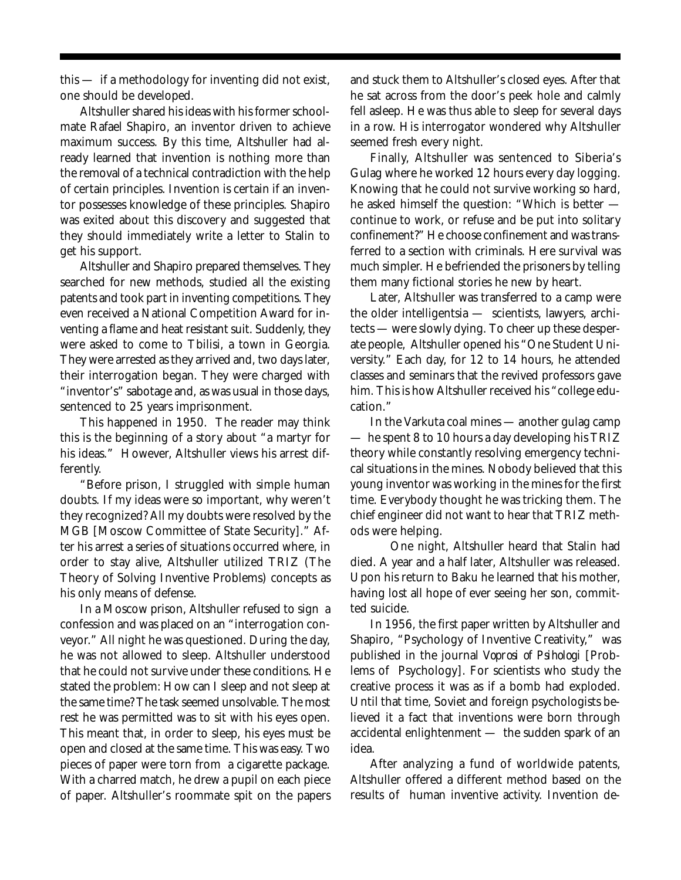this — if a methodology for inventing did not exist, one should be developed.

Altshuller shared his ideas with his former schoolmate Rafael Shapiro, an inventor driven to achieve maximum success. By this time, Altshuller had already learned that invention is nothing more than the removal of a technical contradiction with the help of certain principles. Invention is certain if an inventor possesses knowledge of these principles. Shapiro was exited about this discovery and suggested that they should immediately write a letter to Stalin to get his support.

Altshuller and Shapiro prepared themselves. They searched for new methods, studied all the existing patents and took part in inventing competitions. They even received a National Competition Award for inventing a flame and heat resistant suit. Suddenly, they were asked to come to Tbilisi, a town in Georgia. They were arrested as they arrived and, two days later, their interrogation began. They were charged with "inventor's" sabotage and, as was usual in those days, sentenced to 25 years imprisonment.

This happened in 1950. The reader may think this is the beginning of a story about "a martyr for his ideas." However, Altshuller views his arrest differently.

"Before prison, I struggled with simple human doubts. If my ideas were so important, why weren't they recognized? All my doubts were resolved by the MGB [Moscow Committee of State Security]." After his arrest a series of situations occurred where, in order to stay alive, Altshuller utilized TRIZ (The Theory of Solving Inventive Problems) concepts as his only means of defense.

In a Moscow prison, Altshuller refused to sign a confession and was placed on an "interrogation conveyor." All night he was questioned. During the day, he was not allowed to sleep. Altshuller understood that he could not survive under these conditions. He stated the problem: How can I sleep and not sleep at the same time? The task seemed unsolvable. The most rest he was permitted was to sit with his eyes open. This meant that, in order to sleep, his eyes must be open and closed at the same time. This was easy. Two pieces of paper were torn from a cigarette package. With a charred match, he drew a pupil on each piece of paper. Altshuller's roommate spit on the papers and stuck them to Altshuller's closed eyes. After that he sat across from the door's peek hole and calmly fell asleep. He was thus able to sleep for several days in a row. His interrogator wondered why Altshuller seemed fresh every night.

Finally, Altshuller was sentenced to Siberia's Gulag where he worked 12 hours every day logging. Knowing that he could not survive working so hard, he asked himself the question: "Which is better continue to work, or refuse and be put into solitary confinement?" He choose confinement and was transferred to a section with criminals. Here survival was much simpler. He befriended the prisoners by telling them many fictional stories he new by heart.

Later, Altshuller was transferred to a camp were the older intelligentsia — scientists, lawyers, architects — were slowly dying. To cheer up these desperate people, Altshuller opened his "One Student University." Each day, for 12 to 14 hours, he attended classes and seminars that the revived professors gave him. This is how Altshuller received his "college education."

In the Varkuta coal mines — another gulag camp — he spent 8 to 10 hours a day developing his TRIZ theory while constantly resolving emergency technical situations in the mines. Nobody believed that this young inventor was working in the mines for the first time. Everybody thought he was tricking them. The chief engineer did not want to hear that TRIZ methods were helping.

One night, Altshuller heard that Stalin had died. A year and a half later, Altshuller was released. Upon his return to Baku he learned that his mother, having lost all hope of ever seeing her son, committed suicide.

In 1956, the first paper written by Altshuller and Shapiro, "Psychology of Inventive Creativity," was published in the journal *Voprosi of Psihologi* [Problems of Psychology]. For scientists who study the creative process it was as if a bomb had exploded. Until that time, Soviet and foreign psychologists believed it a fact that inventions were born through accidental enlightenment — the sudden spark of an idea.

After analyzing a fund of worldwide patents, Altshuller offered a different method based on the results of human inventive activity. Invention de